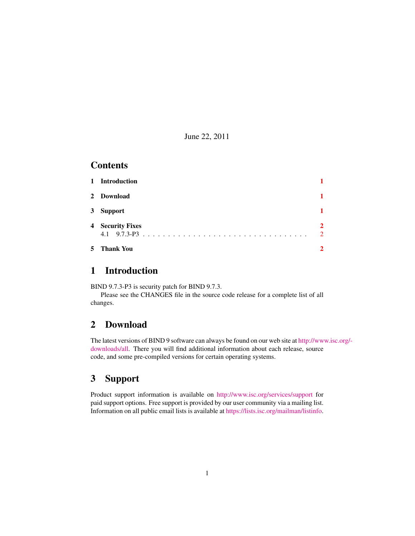June 22, 2011

### **Contents**

| 1 Introduction   |                                             |
|------------------|---------------------------------------------|
| 2 Download       |                                             |
| 3 Support        |                                             |
| 4 Security Fixes | $\mathbf{2}$<br>$\mathcal{D}_{\mathcal{L}}$ |
| 5 Thank You      | $\mathbf{2}$                                |

#### <span id="page-0-0"></span>1 Introduction

BIND 9.7.3-P3 is security patch for BIND 9.7.3.

Please see the CHANGES file in the source code release for a complete list of all changes.

### <span id="page-0-1"></span>2 Download

The latest versions of BIND 9 software can always be found on our web site at [http://ww](http://www.isc.org/downloads/all)w.isc.org/ [downloads/all.](http://www.isc.org/downloads/all) There you will find additional information about each release, source code, and some pre-compiled versions for certain operating systems.

### <span id="page-0-2"></span>3 Support

Product support information is available on <http://www.isc.org/services/support> for paid support options. Free support is provided by our user community via a mailing list. Information on all public email lists is available at [https://lists.isc.org/mailman/listinfo.](https://lists.isc.org/mailman/listinfo)